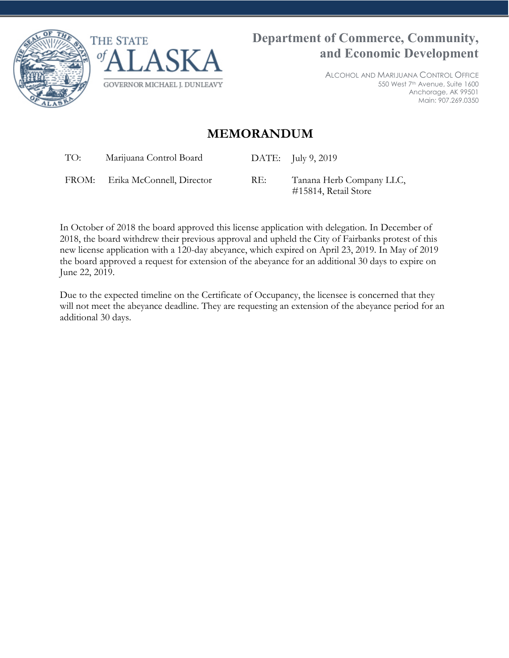



ALCOHOL AND MARIJUANA CONTROL OFFICE 550 West 7th Avenue, Suite 1600 Anchorage, AK 99501 Main: 907.269.0350

## **MEMORANDUM**

TO: Marijuana Control Board DATE: July 9, 2019

FROM: Erika McConnell, Director RE: Tanana Herb Company LLC,

#15814, Retail Store

In October of 2018 the board approved this license application with delegation. In December of 2018, the board withdrew their previous approval and upheld the City of Fairbanks protest of this new license application with a 120-day abeyance, which expired on April 23, 2019. In May of 2019 the board approved a request for extension of the abeyance for an additional 30 days to expire on June 22, 2019.

Due to the expected timeline on the Certificate of Occupancy, the licensee is concerned that they will not meet the abeyance deadline. They are requesting an extension of the abeyance period for an additional 30 days.